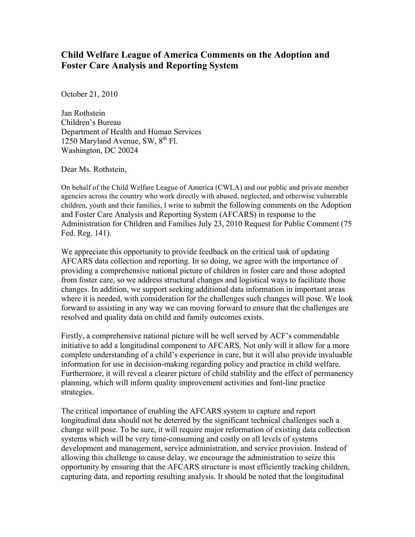## **Child Welfare League of America Comments on the Adoption and Foster Care Analysis and Reporting System**

October 21, 2010

Jan Rothstein Children's Bureau Department of Health and Human Services 1250 Maryland Avenue, SW,  $8<sup>th</sup>$  Fl. Washington, DC 20024

Dear Ms. Rothstein,

On behalf of the Child Welfare League of America (CWLA) and our public and private member agencies across the country who work directly with abused, neglected, and otherwise vulnerable children, youth and their families, I write to submit the following comments on the Adoption and Foster Care Analysis and Reporting System (AFCARS) in response to the Administration for Children and Families July 23, 2010 Request for Public Comment (75 Fed. Reg. 141).

We appreciate this opportunity to provide feedback on the critical task of updating AFCARS data collection and reporting. In so doing, we agree with the importance of providing a comprehensive national picture of children in foster care and those adopted from foster care, so we address structural changes and logistical ways to facilitate those changes. In addition, we support seeking additional data information in important areas where it is needed, with consideration for the challenges such changes will pose. We look forward to assisting in any way we can moving forward to ensure that the challenges are resolved and quality data on child and family outcomes exists.

Firstly, a comprehensive national picture will be well served by ACF's commendable initiative to add a longitudinal component to AFCARS. Not only will it allow for a more complete understanding of a child's experience in care, but it will also provide invaluable information for use in decision-making regarding policy and practice in child welfare. Furthermore, it will reveal a clearer picture of child stability and the effect of permanency planning, which will inform quality improvement activities and font-line practice strategies.

The critical importance of enabling the AFCARS system to capture and report longitudinal data should not be deterred by the significant technical challenges such a change will pose. To be sure, it will require major reformation of existing data collection systems which will be very time-consuming and costly on all levels of systems development and management, service administration, and service provision. Instead of allowing this challenge to cause delay, we encourage the administration to seize this opportunity by ensuring that the AFCARS structure is most efficiently tracking children, capturing data, and reporting resulting analysis. It should be noted that the longitudinal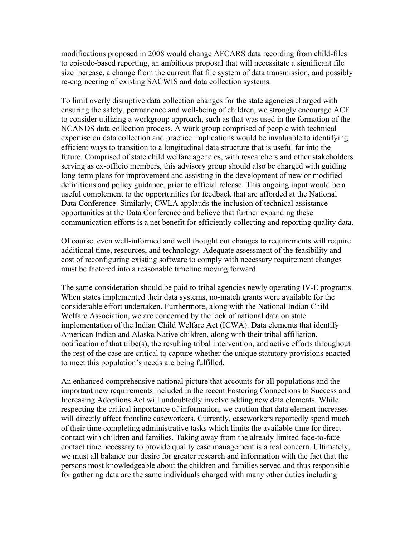modifications proposed in 2008 would change AFCARS data recording from child-files to episode-based reporting, an ambitious proposal that will necessitate a significant file size increase, a change from the current flat file system of data transmission, and possibly re-engineering of existing SACWIS and data collection systems.

To limit overly disruptive data collection changes for the state agencies charged with ensuring the safety, permanence and well-being of children, we strongly encourage ACF to consider utilizing a workgroup approach, such as that was used in the formation of the NCANDS data collection process. A work group comprised of people with technical expertise on data collection and practice implications would be invaluable to identifying efficient ways to transition to a longitudinal data structure that is useful far into the future. Comprised of state child welfare agencies, with researchers and other stakeholders serving as ex-officio members, this advisory group should also be charged with guiding long-term plans for improvement and assisting in the development of new or modified definitions and policy guidance, prior to official release. This ongoing input would be a useful complement to the opportunities for feedback that are afforded at the National Data Conference. Similarly, CWLA applauds the inclusion of technical assistance opportunities at the Data Conference and believe that further expanding these communication efforts is a net benefit for efficiently collecting and reporting quality data.

Of course, even well-informed and well thought out changes to requirements will require additional time, resources, and technology. Adequate assessment of the feasibility and cost of reconfiguring existing software to comply with necessary requirement changes must be factored into a reasonable timeline moving forward.

The same consideration should be paid to tribal agencies newly operating IV-E programs. When states implemented their data systems, no-match grants were available for the considerable effort undertaken. Furthermore, along with the National Indian Child Welfare Association, we are concerned by the lack of national data on state implementation of the Indian Child Welfare Act (ICWA). Data elements that identify American Indian and Alaska Native children, along with their tribal affiliation, notification of that tribe(s), the resulting tribal intervention, and active efforts throughout the rest of the case are critical to capture whether the unique statutory provisions enacted to meet this population's needs are being fulfilled.

An enhanced comprehensive national picture that accounts for all populations and the important new requirements included in the recent Fostering Connections to Success and Increasing Adoptions Act will undoubtedly involve adding new data elements. While respecting the critical importance of information, we caution that data element increases will directly affect frontline caseworkers. Currently, caseworkers reportedly spend much of their time completing administrative tasks which limits the available time for direct contact with children and families. Taking away from the already limited face-to-face contact time necessary to provide quality case management is a real concern. Ultimately, we must all balance our desire for greater research and information with the fact that the persons most knowledgeable about the children and families served and thus responsible for gathering data are the same individuals charged with many other duties including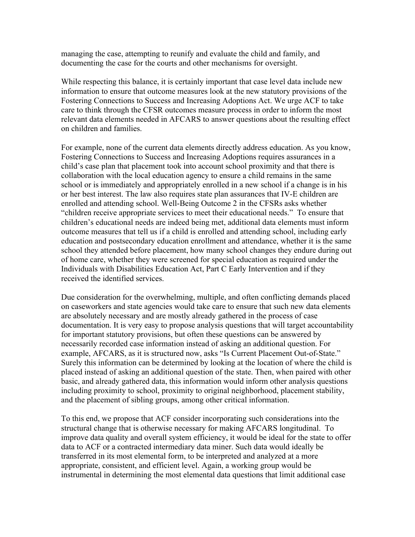managing the case, attempting to reunify and evaluate the child and family, and documenting the case for the courts and other mechanisms for oversight.

While respecting this balance, it is certainly important that case level data include new information to ensure that outcome measures look at the new statutory provisions of the Fostering Connections to Success and Increasing Adoptions Act. We urge ACF to take care to think through the CFSR outcomes measure process in order to inform the most relevant data elements needed in AFCARS to answer questions about the resulting effect on children and families.

For example, none of the current data elements directly address education. As you know, Fostering Connections to Success and Increasing Adoptions requires assurances in a child's case plan that placement took into account school proximity and that there is collaboration with the local education agency to ensure a child remains in the same school or is immediately and appropriately enrolled in a new school if a change is in his or her best interest. The law also requires state plan assurances that IV-E children are enrolled and attending school. Well-Being Outcome 2 in the CFSRs asks whether "children receive appropriate services to meet their educational needs." To ensure that children's educational needs are indeed being met, additional data elements must inform outcome measures that tell us if a child is enrolled and attending school, including early education and postsecondary education enrollment and attendance, whether it is the same school they attended before placement, how many school changes they endure during out of home care, whether they were screened for special education as required under the Individuals with Disabilities Education Act, Part C Early Intervention and if they received the identified services.

Due consideration for the overwhelming, multiple, and often conflicting demands placed on caseworkers and state agencies would take care to ensure that such new data elements are absolutely necessary and are mostly already gathered in the process of case documentation. It is very easy to propose analysis questions that will target accountability for important statutory provisions, but often these questions can be answered by necessarily recorded case information instead of asking an additional question. For example, AFCARS, as it is structured now, asks "Is Current Placement Out-of-State." Surely this information can be determined by looking at the location of where the child is placed instead of asking an additional question of the state. Then, when paired with other basic, and already gathered data, this information would inform other analysis questions including proximity to school, proximity to original neighborhood, placement stability, and the placement of sibling groups, among other critical information.

To this end, we propose that ACF consider incorporating such considerations into the structural change that is otherwise necessary for making AFCARS longitudinal. To improve data quality and overall system efficiency, it would be ideal for the state to offer data to ACF or a contracted intermediary data miner. Such data would ideally be transferred in its most elemental form, to be interpreted and analyzed at a more appropriate, consistent, and efficient level. Again, a working group would be instrumental in determining the most elemental data questions that limit additional case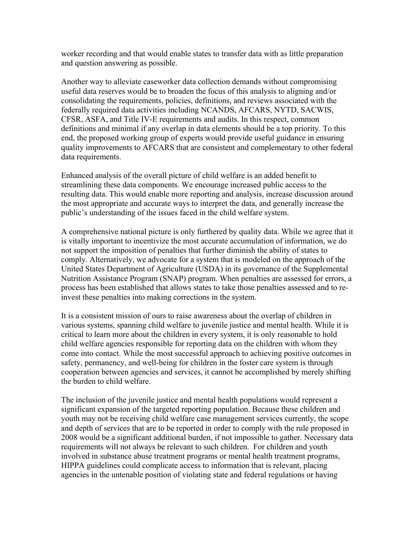worker recording and that would enable states to transfer data with as little preparation and question answering as possible.

Another way to alleviate caseworker data collection demands without compromising useful data reserves would be to broaden the focus of this analysis to aligning and/or consolidating the requirements, policies, definitions, and reviews associated with the federally required data activities including NCANDS, AFCARS, NYTD, SACWIS, CFSR, ASFA, and Title IV-E requirements and audits. In this respect, common definitions and minimal if any overlap in data elements should be a top priority. To this end, the proposed working group of experts would provide useful guidance in ensuring quality improvements to AFCARS that are consistent and complementary to other federal data requirements.

Enhanced analysis of the overall picture of child welfare is an added benefit to streamlining these data components. We encourage increased public access to the resulting data. This would enable more reporting and analysis, increase discussion around the most appropriate and accurate ways to interpret the data, and generally increase the public's understanding of the issues faced in the child welfare system.

A comprehensive national picture is only furthered by quality data. While we agree that it is vitally important to incentivize the most accurate accumulation of information, we do not support the imposition of penalties that further diminish the ability of states to comply. Alternatively, we advocate for a system that is modeled on the approach of the United States Department of Agriculture (USDA) in its governance of the Supplemental Nutrition Assistance Program (SNAP) program. When penalties are assessed for errors, a process has been established that allows states to take those penalties assessed and to reinvest these penalties into making corrections in the system.

It is a consistent mission of ours to raise awareness about the overlap of children in various systems, spanning child welfare to juvenile justice and mental health. While it is critical to learn more about the children in every system, it is only reasonable to hold child welfare agencies responsible for reporting data on the children with whom they come into contact. While the most successful approach to achieving positive outcomes in safety, permanency, and well-being for children in the foster care system is through cooperation between agencies and services, it cannot be accomplished by merely shifting the burden to child welfare.

The inclusion of the juvenile justice and mental health populations would represent a significant expansion of the targeted reporting population. Because these children and youth may not be receiving child welfare case management services currently, the scope and depth of services that are to be reported in order to comply with the rule proposed in 2008 would be a significant additional burden, if not impossible to gather. Necessary data requirements will not always be relevant to such children. For children and youth involved in substance abuse treatment programs or mental health treatment programs, HIPPA guidelines could complicate access to information that is relevant, placing agencies in the untenable position of violating state and federal regulations or having